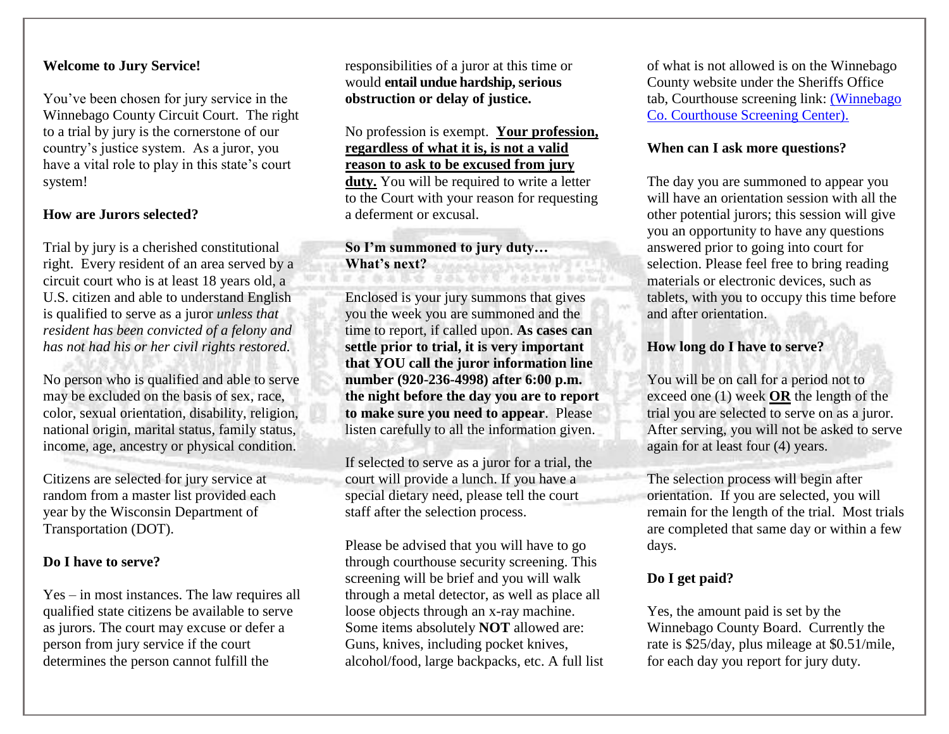# **Welcome to Jury Service!**

You've been chosen for jury service in the Winnebago County Circuit Court. The right to a trial by jury is the cornerstone of our country's justice system. As a juror, you have a vital role to play in this state's court system!

# **How are Jurors selected?**

Trial by jury is a cherished constitutional right. Every resident of an area served by a circuit court who is at least 18 years old, a U.S. citizen and able to understand English is qualified to serve as a juror *unless that resident has been convicted of a felony and has not had his or her civil rights restored.*

No person who is qualified and able to serve may be excluded on the basis of sex, race, color, sexual orientation, disability, religion, national origin, marital status, family status, income, age, ancestry or physical condition.

Citizens are selected for jury service at random from a master list provided each year by the Wisconsin Department of Transportation (DOT).

#### **Do I have to serve?**

Yes – in most instances. The law requires all qualified state citizens be available to serve as jurors. The court may excuse or defer a person from jury service if the court determines the person cannot fulfill the

responsibilities of a juror at this time or would **entail undue hardship, serious obstruction or delay of justice.** 

No profession is exempt. **Your profession, regardless of what it is, is not a valid reason to ask to be excused from jury duty.** You will be required to write a letter to the Court with your reason for requesting a deferment or excusal.

# **So I'm summoned to jury duty… What's next?**

Enclosed is your jury summons that gives you the week you are summoned and the time to report, if called upon. **As cases can settle prior to trial, it is very important that YOU call the juror information line number (920-236-4998) after 6:00 p.m. the night before the day you are to report to make sure you need to appear**. Please listen carefully to all the information given.

If selected to serve as a juror for a trial, the court will provide a lunch. If you have a special dietary need, please tell the court staff after the selection process.

Please be advised that you will have to go through courthouse security screening. This screening will be brief and you will walk through a metal detector, as well as place all loose objects through an x-ray machine. Some items absolutely **NOT** allowed are: Guns, knives, including pocket knives, alcohol/food, large backpacks, etc. A full list of what is not allowed is on the Winnebago County website under the Sheriffs Office tab, Courthouse screening link: [\(Winnebago](https://www.co.winnebago.wi.us/sites/default/files/uploaded-files/winnebago_county_courthouse_screening_center_memo_amended.pdf)  [Co. Courthouse Screening Center\).](https://www.co.winnebago.wi.us/sites/default/files/uploaded-files/winnebago_county_courthouse_screening_center_memo_amended.pdf)

### **When can I ask more questions?**

The day you are summoned to appear you will have an orientation session with all the other potential jurors; this session will give you an opportunity to have any questions answered prior to going into court for selection. Please feel free to bring reading materials or electronic devices, such as tablets, with you to occupy this time before and after orientation.

### **How long do I have to serve?**

You will be on call for a period not to exceed one (1) week **OR** the length of the trial you are selected to serve on as a juror. After serving, you will not be asked to serve again for at least four (4) years.

The selection process will begin after orientation. If you are selected, you will remain for the length of the trial. Most trials are completed that same day or within a few days.

# **Do I get paid?**

Yes, the amount paid is set by the Winnebago County Board. Currently the rate is \$25/day, plus mileage at \$0.51/mile, for each day you report for jury duty.